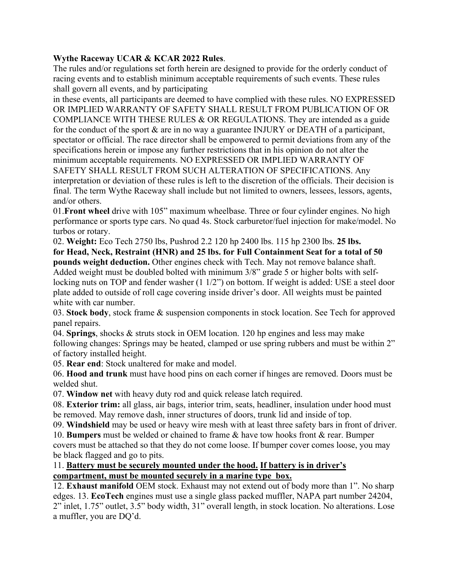## **Wythe Raceway UCAR & KCAR 2022 Rules**.

The rules and/or regulations set forth herein are designed to provide for the orderly conduct of racing events and to establish minimum acceptable requirements of such events. These rules shall govern all events, and by participating

in these events, all participants are deemed to have complied with these rules. NO EXPRESSED OR IMPLIED WARRANTY OF SAFETY SHALL RESULT FROM PUBLICATION OF OR COMPLIANCE WITH THESE RULES & OR REGULATIONS. They are intended as a guide for the conduct of the sport & are in no way a guarantee INJURY or DEATH of a participant, spectator or official. The race director shall be empowered to permit deviations from any of the specifications herein or impose any further restrictions that in his opinion do not alter the minimum acceptable requirements. NO EXPRESSED OR IMPLIED WARRANTY OF SAFETY SHALL RESULT FROM SUCH ALTERATION OF SPECIFICATIONS. Any interpretation or deviation of these rules is left to the discretion of the officials. Their decision is final. The term Wythe Raceway shall include but not limited to owners, lessees, lessors, agents, and/or others.

01.**Front wheel** drive with 105" maximum wheelbase. Three or four cylinder engines. No high performance or sports type cars. No quad 4s. Stock carburetor/fuel injection for make/model. No turbos or rotary.

02. **Weight:** Eco Tech 2750 lbs, Pushrod 2.2 120 hp 2400 lbs. 115 hp 2300 lbs. **25 lbs. for Head, Neck, Restraint (HNR) and 25 lbs. for Full Containment Seat for a total of 50 pounds weight deduction.** Other engines check with Tech. May not remove balance shaft. Added weight must be doubled bolted with minimum 3/8" grade 5 or higher bolts with selflocking nuts on TOP and fender washer (1 1/2") on bottom. If weight is added: USE a steel door plate added to outside of roll cage covering inside driver's door. All weights must be painted white with car number.

03. **Stock body**, stock frame & suspension components in stock location. See Tech for approved panel repairs.

04. **Springs**, shocks & struts stock in OEM location. 120 hp engines and less may make following changes: Springs may be heated, clamped or use spring rubbers and must be within 2" of factory installed height.

05. **Rear end**: Stock unaltered for make and model.

06. **Hood and trunk** must have hood pins on each corner if hinges are removed. Doors must be welded shut.

07. **Window net** with heavy duty rod and quick release latch required.

08. **Exterior trim:** all glass, air bags, interior trim, seats, headliner, insulation under hood must be removed. May remove dash, inner structures of doors, trunk lid and inside of top.

09. **Windshield** may be used or heavy wire mesh with at least three safety bars in front of driver.

10. **Bumpers** must be welded or chained to frame & have tow hooks front & rear. Bumper covers must be attached so that they do not come loose. If bumper cover comes loose, you may be black flagged and go to pits.

## 11. **Battery must be securely mounted under the hood. If battery is in driver's compartment, must be mounted securely in a marine type box.**

12. **Exhaust manifold** OEM stock. Exhaust may not extend out of body more than 1". No sharp edges. 13. **EcoTech** engines must use a single glass packed muffler, NAPA part number 24204, 2" inlet, 1.75" outlet, 3.5" body width, 31" overall length, in stock location. No alterations. Lose a muffler, you are DQ'd.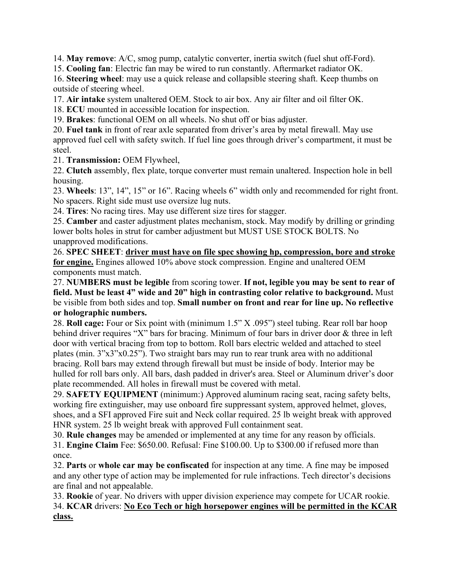14. **May remove**: A/C, smog pump, catalytic converter, inertia switch (fuel shut off-Ford).

15. **Cooling fan**: Electric fan may be wired to run constantly. Aftermarket radiator OK.

16. **Steering wheel**: may use a quick release and collapsible steering shaft. Keep thumbs on outside of steering wheel.

17. **Air intake** system unaltered OEM. Stock to air box. Any air filter and oil filter OK.

18. **ECU** mounted in accessible location for inspection.

19. **Brakes**: functional OEM on all wheels. No shut off or bias adjuster.

20. **Fuel tank** in front of rear axle separated from driver's area by metal firewall. May use approved fuel cell with safety switch. If fuel line goes through driver's compartment, it must be steel.

21. **Transmission:** OEM Flywheel,

22. **Clutch** assembly, flex plate, torque converter must remain unaltered. Inspection hole in bell housing.

23. **Wheels**: 13", 14", 15" or 16". Racing wheels 6" width only and recommended for right front. No spacers. Right side must use oversize lug nuts.

24. **Tires**: No racing tires. May use different size tires for stagger.

25. **Camber** and caster adjustment plates mechanism, stock. May modify by drilling or grinding lower bolts holes in strut for camber adjustment but MUST USE STOCK BOLTS. No unapproved modifications.

26. **SPEC SHEET**: **driver must have on file spec showing hp, compression, bore and stroke for engine.** Engines allowed 10% above stock compression. Engine and unaltered OEM components must match.

27. **NUMBERS must be legible** from scoring tower. **If not, legible you may be sent to rear of field. Must be least 4" wide and 20" high in contrasting color relative to background.** Must be visible from both sides and top. **Small number on front and rear for line up. No reflective or holographic numbers.**

28. **Roll cage:** Four or Six point with (minimum 1.5" X .095") steel tubing. Rear roll bar hoop behind driver requires "X" bars for bracing. Minimum of four bars in driver door & three in left door with vertical bracing from top to bottom. Roll bars electric welded and attached to steel plates (min. 3"x3"x0.25"). Two straight bars may run to rear trunk area with no additional bracing. Roll bars may extend through firewall but must be inside of body. Interior may be hulled for roll bars only. All bars, dash padded in driver's area. Steel or Aluminum driver's door plate recommended. All holes in firewall must be covered with metal.

29. **SAFETY EQUIPMENT** (minimum:) Approved aluminum racing seat, racing safety belts, working fire extinguisher, may use onboard fire suppressant system, approved helmet, gloves, shoes, and a SFI approved Fire suit and Neck collar required. 25 lb weight break with approved HNR system. 25 lb weight break with approved Full containment seat.

30. **Rule changes** may be amended or implemented at any time for any reason by officials. 31. **Engine Claim** Fee: \$650.00. Refusal: Fine \$100.00. Up to \$300.00 if refused more than once.

32. **Parts** or **whole car may be confiscated** for inspection at any time. A fine may be imposed and any other type of action may be implemented for rule infractions. Tech director's decisions are final and not appealable.

33. **Rookie** of year. No drivers with upper division experience may compete for UCAR rookie. 34. **KCAR** drivers: **No Eco Tech or high horsepower engines will be permitted in the KCAR class.**